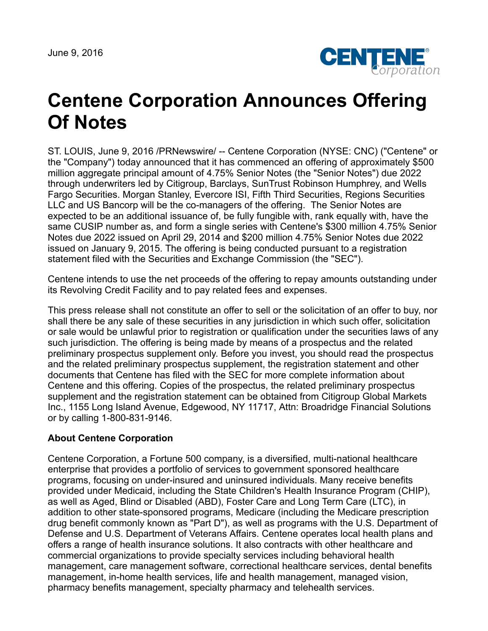June 9, 2016



## **Centene Corporation Announces Offering Of Notes**

ST. LOUIS, June 9, 2016 /PRNewswire/ -- Centene Corporation (NYSE: CNC) ("Centene" or the "Company") today announced that it has commenced an offering of approximately \$500 million aggregate principal amount of 4.75% Senior Notes (the "Senior Notes") due 2022 through underwriters led by Citigroup, Barclays, SunTrust Robinson Humphrey, and Wells Fargo Securities. Morgan Stanley, Evercore ISI, Fifth Third Securities, Regions Securities LLC and US Bancorp will be the co-managers of the offering. The Senior Notes are expected to be an additional issuance of, be fully fungible with, rank equally with, have the same CUSIP number as, and form a single series with Centene's \$300 million 4.75% Senior Notes due 2022 issued on April 29, 2014 and \$200 million 4.75% Senior Notes due 2022 issued on January 9, 2015. The offering is being conducted pursuant to a registration statement filed with the Securities and Exchange Commission (the "SEC").

Centene intends to use the net proceeds of the offering to repay amounts outstanding under its Revolving Credit Facility and to pay related fees and expenses.

This press release shall not constitute an offer to sell or the solicitation of an offer to buy, nor shall there be any sale of these securities in any jurisdiction in which such offer, solicitation or sale would be unlawful prior to registration or qualification under the securities laws of any such jurisdiction. The offering is being made by means of a prospectus and the related preliminary prospectus supplement only. Before you invest, you should read the prospectus and the related preliminary prospectus supplement, the registration statement and other documents that Centene has filed with the SEC for more complete information about Centene and this offering. Copies of the prospectus, the related preliminary prospectus supplement and the registration statement can be obtained from Citigroup Global Markets Inc., 1155 Long Island Avenue, Edgewood, NY 11717, Attn: Broadridge Financial Solutions or by calling 1-800-831-9146.

## **About Centene Corporation**

Centene Corporation, a Fortune 500 company, is a diversified, multi-national healthcare enterprise that provides a portfolio of services to government sponsored healthcare programs, focusing on under-insured and uninsured individuals. Many receive benefits provided under Medicaid, including the State Children's Health Insurance Program (CHIP), as well as Aged, Blind or Disabled (ABD), Foster Care and Long Term Care (LTC), in addition to other state-sponsored programs, Medicare (including the Medicare prescription drug benefit commonly known as "Part D"), as well as programs with the U.S. Department of Defense and U.S. Department of Veterans Affairs. Centene operates local health plans and offers a range of health insurance solutions. It also contracts with other healthcare and commercial organizations to provide specialty services including behavioral health management, care management software, correctional healthcare services, dental benefits management, in-home health services, life and health management, managed vision, pharmacy benefits management, specialty pharmacy and telehealth services.